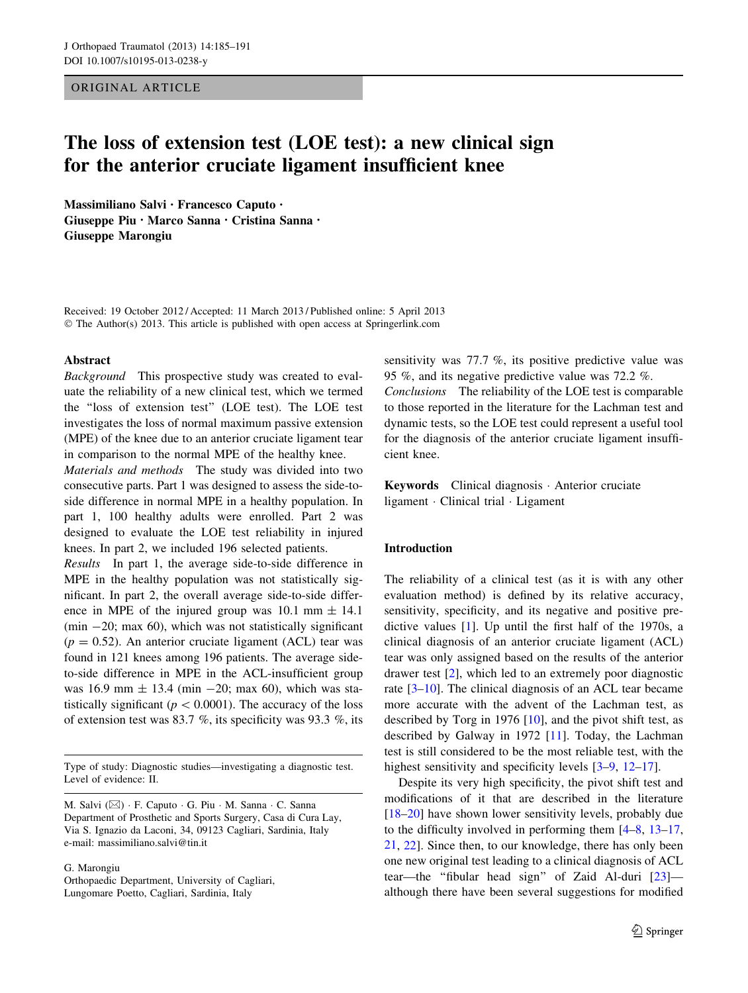# ORIGINAL ARTICLE

# The loss of extension test (LOE test): a new clinical sign for the anterior cruciate ligament insufficient knee

Massimiliano Salvi • Francesco Caputo • Giuseppe Piu • Marco Sanna • Cristina Sanna • Giuseppe Marongiu

Received: 19 October 2012 / Accepted: 11 March 2013 / Published online: 5 April 2013 © The Author(s) 2013. This article is published with open access at Springerlink.com

#### Abstract

Background This prospective study was created to evaluate the reliability of a new clinical test, which we termed the ''loss of extension test'' (LOE test). The LOE test investigates the loss of normal maximum passive extension (MPE) of the knee due to an anterior cruciate ligament tear in comparison to the normal MPE of the healthy knee.

Materials and methods The study was divided into two consecutive parts. Part 1 was designed to assess the side-toside difference in normal MPE in a healthy population. In part 1, 100 healthy adults were enrolled. Part 2 was designed to evaluate the LOE test reliability in injured knees. In part 2, we included 196 selected patients.

Results In part 1, the average side-to-side difference in MPE in the healthy population was not statistically significant. In part 2, the overall average side-to-side difference in MPE of the injured group was 10.1 mm  $\pm$  14.1 (min  $-20$ ; max 60), which was not statistically significant  $(p = 0.52)$ . An anterior cruciate ligament (ACL) tear was found in 121 knees among 196 patients. The average sideto-side difference in MPE in the ACL-insufficient group was 16.9 mm  $\pm$  13.4 (min -20; max 60), which was statistically significant ( $p < 0.0001$ ). The accuracy of the loss of extension test was 83.7 %, its specificity was 93.3 %, its

Type of study: Diagnostic studies—investigating a diagnostic test. Level of evidence: II.

G. Marongiu

Orthopaedic Department, University of Cagliari, Lungomare Poetto, Cagliari, Sardinia, Italy

sensitivity was 77.7 %, its positive predictive value was 95 %, and its negative predictive value was 72.2 %.

Conclusions The reliability of the LOE test is comparable to those reported in the literature for the Lachman test and dynamic tests, so the LOE test could represent a useful tool for the diagnosis of the anterior cruciate ligament insufficient knee.

Keywords Clinical diagnosis - Anterior cruciate ligament - Clinical trial - Ligament

# Introduction

The reliability of a clinical test (as it is with any other evaluation method) is defined by its relative accuracy, sensitivity, specificity, and its negative and positive predictive values [[1\]](#page-6-0). Up until the first half of the 1970s, a clinical diagnosis of an anterior cruciate ligament (ACL) tear was only assigned based on the results of the anterior drawer test [[2\]](#page-6-0), which led to an extremely poor diagnostic rate [[3–10\]](#page-6-0). The clinical diagnosis of an ACL tear became more accurate with the advent of the Lachman test, as described by Torg in 1976 [\[10](#page-6-0)], and the pivot shift test, as described by Galway in 1972 [[11\]](#page-6-0). Today, the Lachman test is still considered to be the most reliable test, with the highest sensitivity and specificity levels  $[3-9, 12-17]$ .

Despite its very high specificity, the pivot shift test and modifications of it that are described in the literature [\[18–20](#page-6-0)] have shown lower sensitivity levels, probably due to the difficulty involved in performing them [\[4–8](#page-6-0), [13–17,](#page-6-0) [21](#page-6-0), [22\]](#page-6-0). Since then, to our knowledge, there has only been one new original test leading to a clinical diagnosis of ACL tear—the ''fibular head sign'' of Zaid Al-duri [[23\]](#page-6-0) although there have been several suggestions for modified

M. Salvi (⊠) · F. Caputo · G. Piu · M. Sanna · C. Sanna Department of Prosthetic and Sports Surgery, Casa di Cura Lay, Via S. Ignazio da Laconi, 34, 09123 Cagliari, Sardinia, Italy e-mail: massimiliano.salvi@tin.it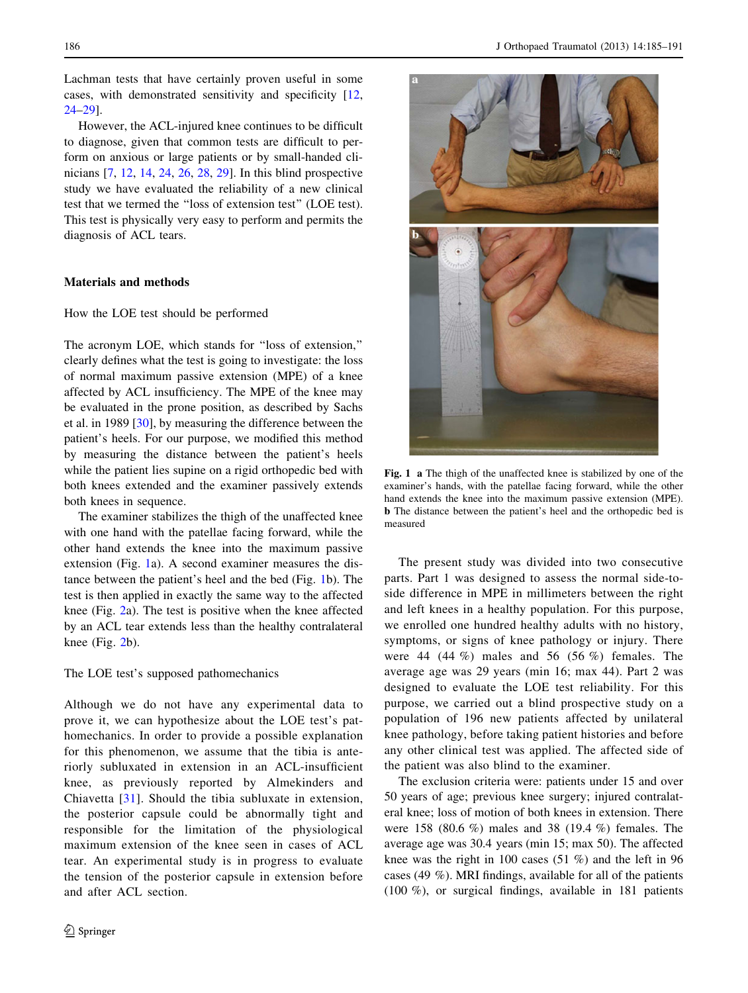<span id="page-1-0"></span>Lachman tests that have certainly proven useful in some cases, with demonstrated sensitivity and specificity [[12,](#page-6-0) [24](#page-6-0)–[29\]](#page-6-0).

However, the ACL-injured knee continues to be difficult to diagnose, given that common tests are difficult to perform on anxious or large patients or by small-handed clinicians [[7,](#page-6-0) [12,](#page-6-0) [14](#page-6-0), [24,](#page-6-0) [26,](#page-6-0) [28](#page-6-0), [29](#page-6-0)]. In this blind prospective study we have evaluated the reliability of a new clinical test that we termed the ''loss of extension test'' (LOE test). This test is physically very easy to perform and permits the diagnosis of ACL tears.

#### Materials and methods

#### How the LOE test should be performed

The acronym LOE, which stands for ''loss of extension,'' clearly defines what the test is going to investigate: the loss of normal maximum passive extension (MPE) of a knee affected by ACL insufficiency. The MPE of the knee may be evaluated in the prone position, as described by Sachs et al. in 1989 [[30\]](#page-6-0), by measuring the difference between the patient's heels. For our purpose, we modified this method by measuring the distance between the patient's heels while the patient lies supine on a rigid orthopedic bed with both knees extended and the examiner passively extends both knees in sequence.

The examiner stabilizes the thigh of the unaffected knee with one hand with the patellae facing forward, while the other hand extends the knee into the maximum passive extension (Fig. 1a). A second examiner measures the distance between the patient's heel and the bed (Fig. 1b). The test is then applied in exactly the same way to the affected knee (Fig. [2a](#page-2-0)). The test is positive when the knee affected by an ACL tear extends less than the healthy contralateral knee (Fig. [2b](#page-2-0)).

The LOE test's supposed pathomechanics

Although we do not have any experimental data to prove it, we can hypothesize about the LOE test's pathomechanics. In order to provide a possible explanation for this phenomenon, we assume that the tibia is anteriorly subluxated in extension in an ACL-insufficient knee, as previously reported by Almekinders and Chiavetta [\[31\]](#page-6-0). Should the tibia subluxate in extension, the posterior capsule could be abnormally tight and responsible for the limitation of the physiological maximum extension of the knee seen in cases of ACL tear. An experimental study is in progress to evaluate the tension of the posterior capsule in extension before and after ACL section.



Fig. 1 a The thigh of the unaffected knee is stabilized by one of the examiner's hands, with the patellae facing forward, while the other hand extends the knee into the maximum passive extension (MPE). b The distance between the patient's heel and the orthopedic bed is measured

The present study was divided into two consecutive parts. Part 1 was designed to assess the normal side-toside difference in MPE in millimeters between the right and left knees in a healthy population. For this purpose, we enrolled one hundred healthy adults with no history, symptoms, or signs of knee pathology or injury. There were 44  $(44\%)$  males and 56  $(56\%)$  females. The average age was 29 years (min 16; max 44). Part 2 was designed to evaluate the LOE test reliability. For this purpose, we carried out a blind prospective study on a population of 196 new patients affected by unilateral knee pathology, before taking patient histories and before any other clinical test was applied. The affected side of the patient was also blind to the examiner.

The exclusion criteria were: patients under 15 and over 50 years of age; previous knee surgery; injured contralateral knee; loss of motion of both knees in extension. There were 158 (80.6 %) males and 38 (19.4 %) females. The average age was 30.4 years (min 15; max 50). The affected knee was the right in 100 cases (51 %) and the left in 96 cases (49 %). MRI findings, available for all of the patients (100 %), or surgical findings, available in 181 patients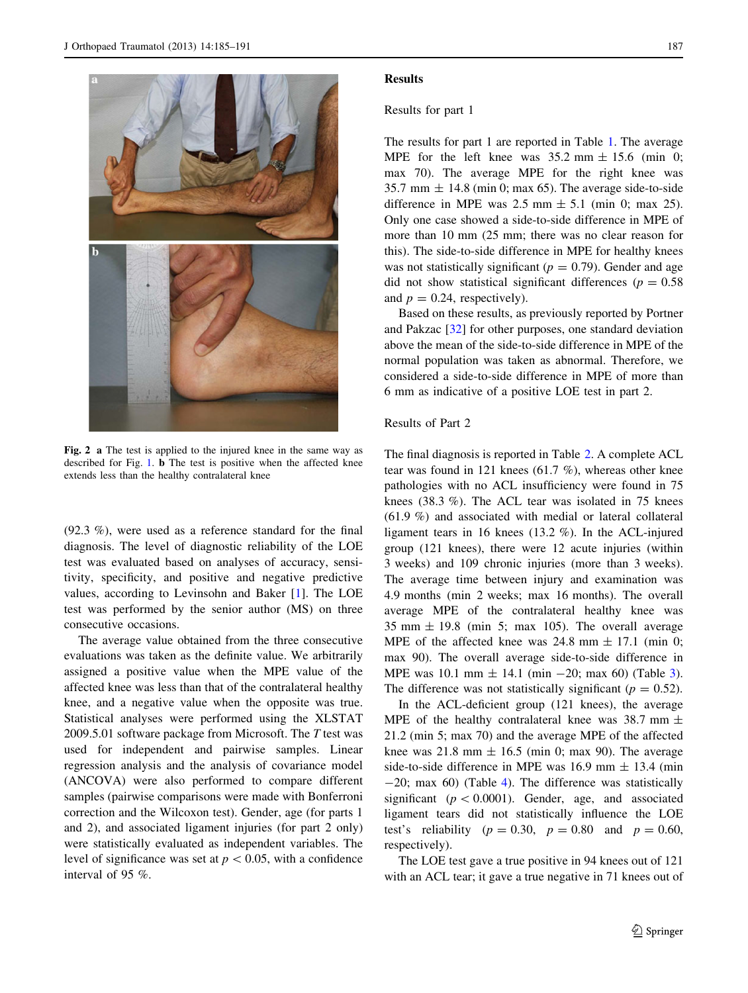<span id="page-2-0"></span>

Fig. 2 a The test is applied to the injured knee in the same way as described for Fig. [1.](#page-1-0) b The test is positive when the affected knee extends less than the healthy contralateral knee

(92.3 %), were used as a reference standard for the final diagnosis. The level of diagnostic reliability of the LOE test was evaluated based on analyses of accuracy, sensitivity, specificity, and positive and negative predictive values, according to Levinsohn and Baker [\[1](#page-6-0)]. The LOE test was performed by the senior author (MS) on three consecutive occasions.

The average value obtained from the three consecutive evaluations was taken as the definite value. We arbitrarily assigned a positive value when the MPE value of the affected knee was less than that of the contralateral healthy knee, and a negative value when the opposite was true. Statistical analyses were performed using the XLSTAT 2009.5.01 software package from Microsoft. The T test was used for independent and pairwise samples. Linear regression analysis and the analysis of covariance model (ANCOVA) were also performed to compare different samples (pairwise comparisons were made with Bonferroni correction and the Wilcoxon test). Gender, age (for parts 1 and 2), and associated ligament injuries (for part 2 only) were statistically evaluated as independent variables. The level of significance was set at  $p < 0.05$ , with a confidence interval of 95 %.

#### Results

#### Results for part 1

The results for part 1 are reported in Table [1.](#page-3-0) The average MPE for the left knee was  $35.2$  mm  $\pm$  15.6 (min 0; max 70). The average MPE for the right knee was 35.7 mm  $\pm$  14.8 (min 0; max 65). The average side-to-side difference in MPE was  $2.5$  mm  $\pm$  5.1 (min 0; max 25). Only one case showed a side-to-side difference in MPE of more than 10 mm (25 mm; there was no clear reason for this). The side-to-side difference in MPE for healthy knees was not statistically significant ( $p = 0.79$ ). Gender and age did not show statistical significant differences ( $p = 0.58$ ) and  $p = 0.24$ , respectively).

Based on these results, as previously reported by Portner and Pakzac [[32\]](#page-6-0) for other purposes, one standard deviation above the mean of the side-to-side difference in MPE of the normal population was taken as abnormal. Therefore, we considered a side-to-side difference in MPE of more than 6 mm as indicative of a positive LOE test in part 2.

# Results of Part 2

The final diagnosis is reported in Table [2.](#page-3-0) A complete ACL tear was found in 121 knees (61.7 %), whereas other knee pathologies with no ACL insufficiency were found in 75 knees (38.3 %). The ACL tear was isolated in 75 knees (61.9 %) and associated with medial or lateral collateral ligament tears in 16 knees (13.2 %). In the ACL-injured group (121 knees), there were 12 acute injuries (within 3 weeks) and 109 chronic injuries (more than 3 weeks). The average time between injury and examination was 4.9 months (min 2 weeks; max 16 months). The overall average MPE of the contralateral healthy knee was 35 mm  $\pm$  19.8 (min 5; max 105). The overall average MPE of the affected knee was  $24.8$  mm  $\pm$  17.1 (min 0; max 90). The overall average side-to-side difference in MPE was 10.1 mm  $\pm$  14.1 (min -20; max 60) (Table [3](#page-4-0)). The difference was not statistically significant ( $p = 0.52$ ).

In the ACL-deficient group (121 knees), the average MPE of the healthy contralateral knee was 38.7 mm  $\pm$ 21.2 (min 5; max 70) and the average MPE of the affected knee was  $21.8$  mm  $\pm 16.5$  (min 0; max 90). The average side-to-side difference in MPE was 16.9 mm  $\pm$  13.4 (min  $-20$ ; max 60) (Table [4](#page-4-0)). The difference was statistically significant ( $p < 0.0001$ ). Gender, age, and associated ligament tears did not statistically influence the LOE test's reliability ( $p = 0.30$ ,  $p = 0.80$  and  $p = 0.60$ , respectively).

The LOE test gave a true positive in 94 knees out of 121 with an ACL tear; it gave a true negative in 71 knees out of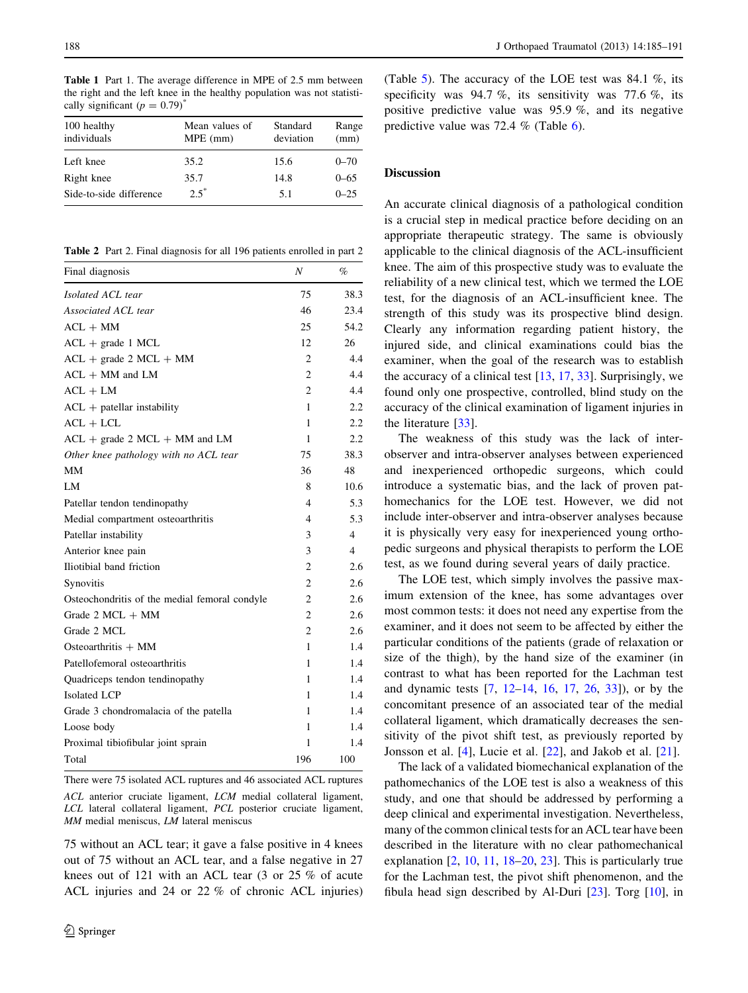<span id="page-3-0"></span>Table 1 Part 1. The average difference in MPE of 2.5 mm between the right and the left knee in the healthy population was not statistically significant  $(p = 0.79)^{\degree}$ 

| 100 healthy<br>individuals | Mean values of<br>$MPE$ (mm) | Standard<br>deviation | Range<br>(mm) |
|----------------------------|------------------------------|-----------------------|---------------|
| Left knee                  | 35.2                         | 15.6                  | $0 - 70$      |
| Right knee                 | 35.7                         | 14.8                  | $0 - 65$      |
| Side-to-side difference    | $2.5^*$                      | 5.1                   | $0 - 25$      |

Table 2 Part 2. Final diagnosis for all 196 patients enrolled in part 2

| Final diagnosis                               | N              | %              |
|-----------------------------------------------|----------------|----------------|
| Isolated ACL tear                             | 75             | 38.3           |
| Associated ACL tear                           | 46             | 23.4           |
| $ACL + MM$                                    | 25             | 54.2           |
| $ACL$ + grade 1 MCL                           | 12             | 26             |
| $ACL$ + grade 2 MCL + MM                      | 2              | 4.4            |
| $ACL + MM$ and $LM$                           | $\overline{2}$ | 4.4            |
| $ACL + LM$                                    | 2              | 4.4            |
| $ACL$ + patellar instability                  | 1              | 2.2            |
| $ACL + LCL$                                   | 1              | 2.2            |
| $ACL + grade 2 MCL + MM$ and LM               | 1              | 2.2            |
| Other knee pathology with no ACL tear         | 75             | 38.3           |
| MМ                                            | 36             | 48             |
| LM                                            | 8              | 10.6           |
| Patellar tendon tendinopathy                  | 4              | 5.3            |
| Medial compartment osteoarthritis             | 4              | 5.3            |
| Patellar instability                          | 3              | $\overline{4}$ |
| Anterior knee pain                            | 3              | 4              |
| Iliotibial band friction                      | 2              | 2.6            |
| Synovitis                                     | 2              | 2.6            |
| Osteochondritis of the medial femoral condyle | $\overline{2}$ | 2.6            |
| Grade $2 MCL + MM$                            | 2              | 2.6            |
| Grade 2 MCL                                   | 2              | 2.6            |
| Osteoarthritis $+ MM$                         | 1              | 1.4            |
| Patellofemoral osteoarthritis                 | 1              | 1.4            |
| Quadriceps tendon tendinopathy                | 1              | 1.4            |
| Isolated LCP                                  | 1              | 1.4            |
| Grade 3 chondromalacia of the patella         | 1              | 1.4            |
| Loose body                                    | 1              | 1.4            |
| Proximal tibiofibular joint sprain            | 1              | 1.4            |
| Total                                         | 196            | 100            |

There were 75 isolated ACL ruptures and 46 associated ACL ruptures ACL anterior cruciate ligament, LCM medial collateral ligament, LCL lateral collateral ligament, PCL posterior cruciate ligament, MM medial meniscus, LM lateral meniscus

75 without an ACL tear; it gave a false positive in 4 knees out of 75 without an ACL tear, and a false negative in 27 knees out of 121 with an ACL tear (3 or 25 % of acute ACL injuries and 24 or 22 % of chronic ACL injuries)

(Table [5\)](#page-4-0). The accuracy of the LOE test was 84.1 %, its specificity was 94.7 %, its sensitivity was 77.6 %, its positive predictive value was 95.9 %, and its negative predictive value was 72.4 % (Table [6](#page-4-0)).

# Discussion

An accurate clinical diagnosis of a pathological condition is a crucial step in medical practice before deciding on an appropriate therapeutic strategy. The same is obviously applicable to the clinical diagnosis of the ACL-insufficient knee. The aim of this prospective study was to evaluate the reliability of a new clinical test, which we termed the LOE test, for the diagnosis of an ACL-insufficient knee. The strength of this study was its prospective blind design. Clearly any information regarding patient history, the injured side, and clinical examinations could bias the examiner, when the goal of the research was to establish the accuracy of a clinical test  $[13, 17, 33]$  $[13, 17, 33]$  $[13, 17, 33]$  $[13, 17, 33]$  $[13, 17, 33]$  $[13, 17, 33]$ . Surprisingly, we found only one prospective, controlled, blind study on the accuracy of the clinical examination of ligament injuries in the literature [[33\]](#page-6-0).

The weakness of this study was the lack of interobserver and intra-observer analyses between experienced and inexperienced orthopedic surgeons, which could introduce a systematic bias, and the lack of proven pathomechanics for the LOE test. However, we did not include inter-observer and intra-observer analyses because it is physically very easy for inexperienced young orthopedic surgeons and physical therapists to perform the LOE test, as we found during several years of daily practice.

The LOE test, which simply involves the passive maximum extension of the knee, has some advantages over most common tests: it does not need any expertise from the examiner, and it does not seem to be affected by either the particular conditions of the patients (grade of relaxation or size of the thigh), by the hand size of the examiner (in contrast to what has been reported for the Lachman test and dynamic tests [[7,](#page-6-0) [12–14](#page-6-0), [16](#page-6-0), [17,](#page-6-0) [26](#page-6-0), [33\]](#page-6-0)), or by the concomitant presence of an associated tear of the medial collateral ligament, which dramatically decreases the sensitivity of the pivot shift test, as previously reported by Jonsson et al. [[4\]](#page-6-0), Lucie et al. [\[22](#page-6-0)], and Jakob et al. [[21\]](#page-6-0).

The lack of a validated biomechanical explanation of the pathomechanics of the LOE test is also a weakness of this study, and one that should be addressed by performing a deep clinical and experimental investigation. Nevertheless, many of the common clinical tests for an ACL tear have been described in the literature with no clear pathomechanical explanation  $[2, 10, 11, 18–20, 23]$  $[2, 10, 11, 18–20, 23]$  $[2, 10, 11, 18–20, 23]$  $[2, 10, 11, 18–20, 23]$  $[2, 10, 11, 18–20, 23]$  $[2, 10, 11, 18–20, 23]$  $[2, 10, 11, 18–20, 23]$  $[2, 10, 11, 18–20, 23]$  $[2, 10, 11, 18–20, 23]$ . This is particularly true for the Lachman test, the pivot shift phenomenon, and the fibula head sign described by Al-Duri [[23\]](#page-6-0). Torg [[10\]](#page-6-0), in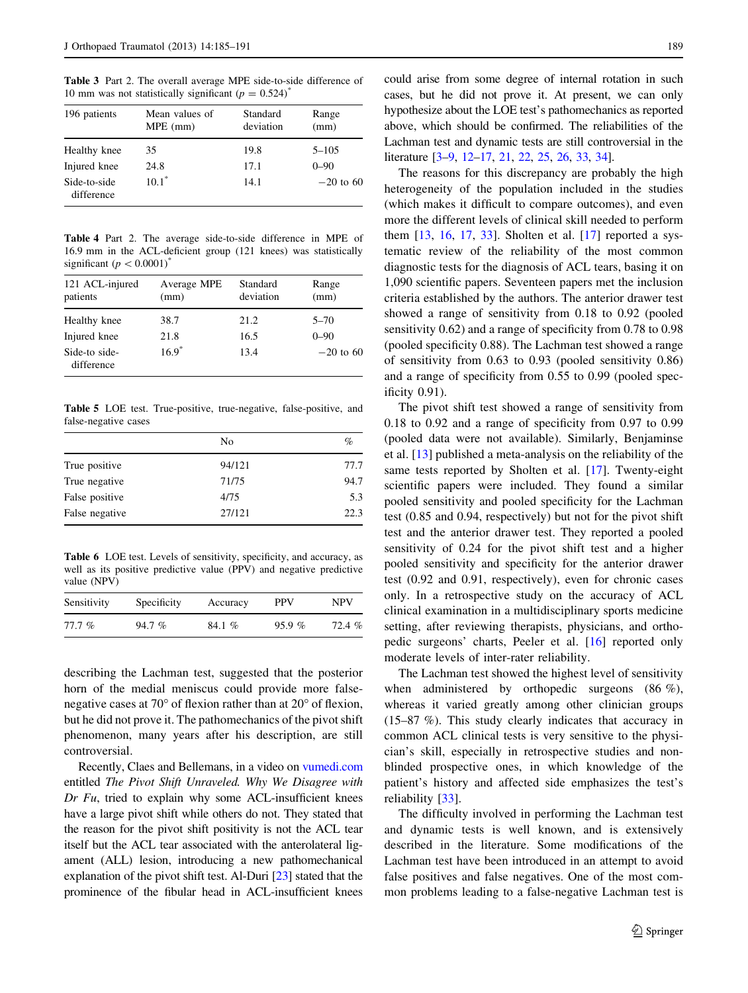<span id="page-4-0"></span>Table 3 Part 2. The overall average MPE side-to-side difference of 10 mm was not statistically significant ( $p = 0.524$ )<sup>\*</sup>

| 196 patients               | Mean values of<br>$MPE$ (mm) | Standard<br>deviation | Range<br>(mm) |
|----------------------------|------------------------------|-----------------------|---------------|
| Healthy knee               | 35.                          | 19.8                  | $5 - 105$     |
| Injured knee               | 24.8                         | 17.1                  | $0 - 90$      |
| Side-to-side<br>difference | $10.1^*$                     | 14.1                  | $-20$ to 60   |

Table 4 Part 2. The average side-to-side difference in MPE of 16.9 mm in the ACL-deficient group (121 knees) was statistically significant  $(p<0.0001)^{n}$ 

| 121 ACL-injured<br>patients | Average MPE<br>(mm) | Standard<br>deviation | Range<br>(mm) |
|-----------------------------|---------------------|-----------------------|---------------|
| Healthy knee                | 38.7                | 21.2                  | $5 - 70$      |
| Injured knee                | 21.8                | 16.5                  | $0 - 90$      |
| Side-to side-<br>difference | $16.9*$             | 13.4                  | $-20$ to 60   |

Table 5 LOE test. True-positive, true-negative, false-positive, and false-negative cases

|                | No     | %    |
|----------------|--------|------|
| True positive  | 94/121 | 77.7 |
| True negative  | 71/75  | 94.7 |
| False positive | 4/75   | 5.3  |
| False negative | 27/121 | 22.3 |
|                |        |      |

Table 6 LOE test. Levels of sensitivity, specificity, and accuracy, as well as its positive predictive value (PPV) and negative predictive value (NPV)

| Sensitivity | Specificity | Accuracy | <b>PPV</b> | <b>NPV</b> |
|-------------|-------------|----------|------------|------------|
| 77.7%       | $94.7 \%$   | 84.1 $%$ | 95.9%      | 72.4 %     |

describing the Lachman test, suggested that the posterior horn of the medial meniscus could provide more falsenegative cases at 70 $\degree$  of flexion rather than at 20 $\degree$  of flexion, but he did not prove it. The pathomechanics of the pivot shift phenomenon, many years after his description, are still controversial.

Recently, Claes and Bellemans, in a video on [vumedi.com](http://vumedi.com) entitled The Pivot Shift Unraveled. Why We Disagree with Dr Fu, tried to explain why some ACL-insufficient knees have a large pivot shift while others do not. They stated that the reason for the pivot shift positivity is not the ACL tear itself but the ACL tear associated with the anterolateral ligament (ALL) lesion, introducing a new pathomechanical explanation of the pivot shift test. Al-Duri [[23](#page-6-0)] stated that the prominence of the fibular head in ACL-insufficient knees could arise from some degree of internal rotation in such cases, but he did not prove it. At present, we can only hypothesize about the LOE test's pathomechanics as reported above, which should be confirmed. The reliabilities of the Lachman test and dynamic tests are still controversial in the literature [\[3–9,](#page-6-0) [12–17,](#page-6-0) [21](#page-6-0), [22,](#page-6-0) [25,](#page-6-0) [26](#page-6-0), [33,](#page-6-0) [34\]](#page-6-0).

The reasons for this discrepancy are probably the high heterogeneity of the population included in the studies (which makes it difficult to compare outcomes), and even more the different levels of clinical skill needed to perform them [\[13](#page-6-0), [16,](#page-6-0) [17](#page-6-0), [33\]](#page-6-0). Sholten et al. [\[17](#page-6-0)] reported a systematic review of the reliability of the most common diagnostic tests for the diagnosis of ACL tears, basing it on 1,090 scientific papers. Seventeen papers met the inclusion criteria established by the authors. The anterior drawer test showed a range of sensitivity from 0.18 to 0.92 (pooled sensitivity 0.62) and a range of specificity from 0.78 to 0.98 (pooled specificity 0.88). The Lachman test showed a range of sensitivity from 0.63 to 0.93 (pooled sensitivity 0.86) and a range of specificity from 0.55 to 0.99 (pooled specificity 0.91).

The pivot shift test showed a range of sensitivity from 0.18 to 0.92 and a range of specificity from 0.97 to 0.99 (pooled data were not available). Similarly, Benjaminse et al. [\[13](#page-6-0)] published a meta-analysis on the reliability of the same tests reported by Sholten et al. [\[17](#page-6-0)]. Twenty-eight scientific papers were included. They found a similar pooled sensitivity and pooled specificity for the Lachman test (0.85 and 0.94, respectively) but not for the pivot shift test and the anterior drawer test. They reported a pooled sensitivity of 0.24 for the pivot shift test and a higher pooled sensitivity and specificity for the anterior drawer test (0.92 and 0.91, respectively), even for chronic cases only. In a retrospective study on the accuracy of ACL clinical examination in a multidisciplinary sports medicine setting, after reviewing therapists, physicians, and orthopedic surgeons' charts, Peeler et al. [\[16](#page-6-0)] reported only moderate levels of inter-rater reliability.

The Lachman test showed the highest level of sensitivity when administered by orthopedic surgeons (86 %), whereas it varied greatly among other clinician groups (15–87 %). This study clearly indicates that accuracy in common ACL clinical tests is very sensitive to the physician's skill, especially in retrospective studies and nonblinded prospective ones, in which knowledge of the patient's history and affected side emphasizes the test's reliability [[33\]](#page-6-0).

The difficulty involved in performing the Lachman test and dynamic tests is well known, and is extensively described in the literature. Some modifications of the Lachman test have been introduced in an attempt to avoid false positives and false negatives. One of the most common problems leading to a false-negative Lachman test is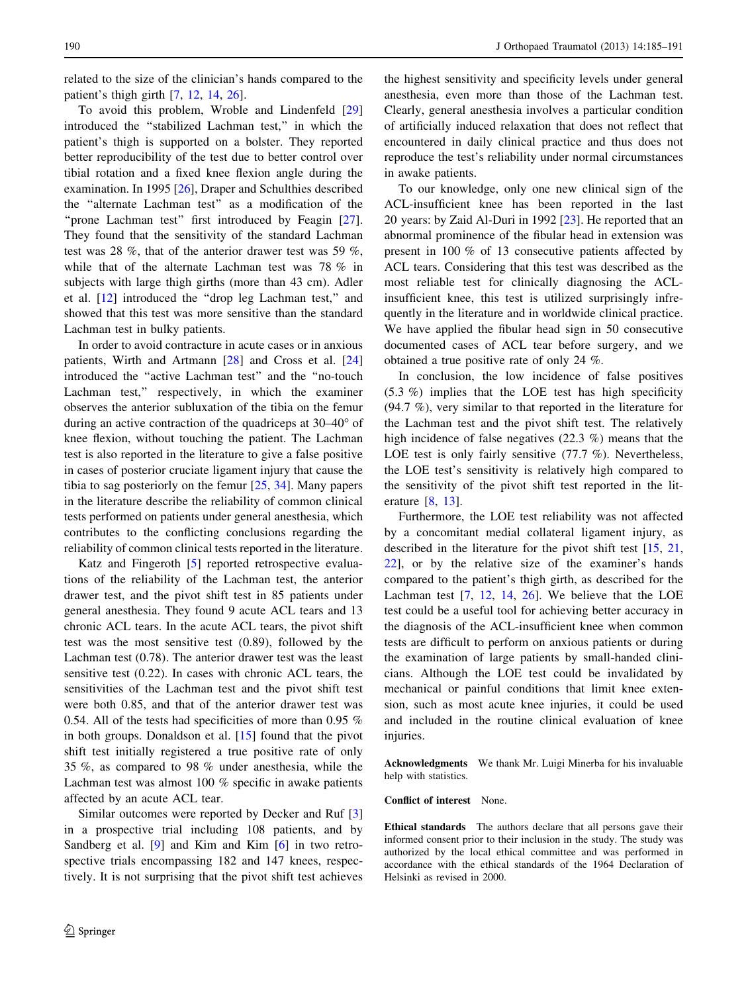related to the size of the clinician's hands compared to the patient's thigh girth [\[7](#page-6-0), [12](#page-6-0), [14,](#page-6-0) [26\]](#page-6-0).

To avoid this problem, Wroble and Lindenfeld [[29\]](#page-6-0) introduced the ''stabilized Lachman test,'' in which the patient's thigh is supported on a bolster. They reported better reproducibility of the test due to better control over tibial rotation and a fixed knee flexion angle during the examination. In 1995 [[26\]](#page-6-0), Draper and Schulthies described the ''alternate Lachman test'' as a modification of the "prone Lachman test" first introduced by Feagin [\[27](#page-6-0)]. They found that the sensitivity of the standard Lachman test was 28 %, that of the anterior drawer test was 59 %, while that of the alternate Lachman test was 78 % in subjects with large thigh girths (more than 43 cm). Adler et al. [\[12](#page-6-0)] introduced the ''drop leg Lachman test,'' and showed that this test was more sensitive than the standard Lachman test in bulky patients.

In order to avoid contracture in acute cases or in anxious patients, Wirth and Artmann [[28\]](#page-6-0) and Cross et al. [[24\]](#page-6-0) introduced the ''active Lachman test'' and the ''no-touch Lachman test,'' respectively, in which the examiner observes the anterior subluxation of the tibia on the femur during an active contraction of the quadriceps at  $30-40^{\circ}$  of knee flexion, without touching the patient. The Lachman test is also reported in the literature to give a false positive in cases of posterior cruciate ligament injury that cause the tibia to sag posteriorly on the femur [[25,](#page-6-0) [34](#page-6-0)]. Many papers in the literature describe the reliability of common clinical tests performed on patients under general anesthesia, which contributes to the conflicting conclusions regarding the reliability of common clinical tests reported in the literature.

Katz and Fingeroth [\[5](#page-6-0)] reported retrospective evaluations of the reliability of the Lachman test, the anterior drawer test, and the pivot shift test in 85 patients under general anesthesia. They found 9 acute ACL tears and 13 chronic ACL tears. In the acute ACL tears, the pivot shift test was the most sensitive test (0.89), followed by the Lachman test (0.78). The anterior drawer test was the least sensitive test (0.22). In cases with chronic ACL tears, the sensitivities of the Lachman test and the pivot shift test were both 0.85, and that of the anterior drawer test was 0.54. All of the tests had specificities of more than 0.95 % in both groups. Donaldson et al. [[15\]](#page-6-0) found that the pivot shift test initially registered a true positive rate of only 35 %, as compared to 98 % under anesthesia, while the Lachman test was almost 100 % specific in awake patients affected by an acute ACL tear.

Similar outcomes were reported by Decker and Ruf [[3\]](#page-6-0) in a prospective trial including 108 patients, and by Sandberg et al. [[9\]](#page-6-0) and Kim and Kim [[6\]](#page-6-0) in two retrospective trials encompassing 182 and 147 knees, respectively. It is not surprising that the pivot shift test achieves

the highest sensitivity and specificity levels under general anesthesia, even more than those of the Lachman test. Clearly, general anesthesia involves a particular condition of artificially induced relaxation that does not reflect that encountered in daily clinical practice and thus does not reproduce the test's reliability under normal circumstances in awake patients.

To our knowledge, only one new clinical sign of the ACL-insufficient knee has been reported in the last 20 years: by Zaid Al-Duri in 1992 [\[23](#page-6-0)]. He reported that an abnormal prominence of the fibular head in extension was present in 100 % of 13 consecutive patients affected by ACL tears. Considering that this test was described as the most reliable test for clinically diagnosing the ACLinsufficient knee, this test is utilized surprisingly infrequently in the literature and in worldwide clinical practice. We have applied the fibular head sign in 50 consecutive documented cases of ACL tear before surgery, and we obtained a true positive rate of only 24 %.

In conclusion, the low incidence of false positives (5.3 %) implies that the LOE test has high specificity (94.7 %), very similar to that reported in the literature for the Lachman test and the pivot shift test. The relatively high incidence of false negatives (22.3 %) means that the LOE test is only fairly sensitive (77.7 %). Nevertheless, the LOE test's sensitivity is relatively high compared to the sensitivity of the pivot shift test reported in the literature [\[8](#page-6-0), [13\]](#page-6-0).

Furthermore, the LOE test reliability was not affected by a concomitant medial collateral ligament injury, as described in the literature for the pivot shift test [\[15](#page-6-0), [21,](#page-6-0) [22](#page-6-0)], or by the relative size of the examiner's hands compared to the patient's thigh girth, as described for the Lachman test [[7,](#page-6-0) [12,](#page-6-0) [14,](#page-6-0) [26\]](#page-6-0). We believe that the LOE test could be a useful tool for achieving better accuracy in the diagnosis of the ACL-insufficient knee when common tests are difficult to perform on anxious patients or during the examination of large patients by small-handed clinicians. Although the LOE test could be invalidated by mechanical or painful conditions that limit knee extension, such as most acute knee injuries, it could be used and included in the routine clinical evaluation of knee injuries.

Acknowledgments We thank Mr. Luigi Minerba for his invaluable help with statistics.

Conflict of interest None.

Ethical standards The authors declare that all persons gave their informed consent prior to their inclusion in the study. The study was authorized by the local ethical committee and was performed in accordance with the ethical standards of the 1964 Declaration of Helsinki as revised in 2000.